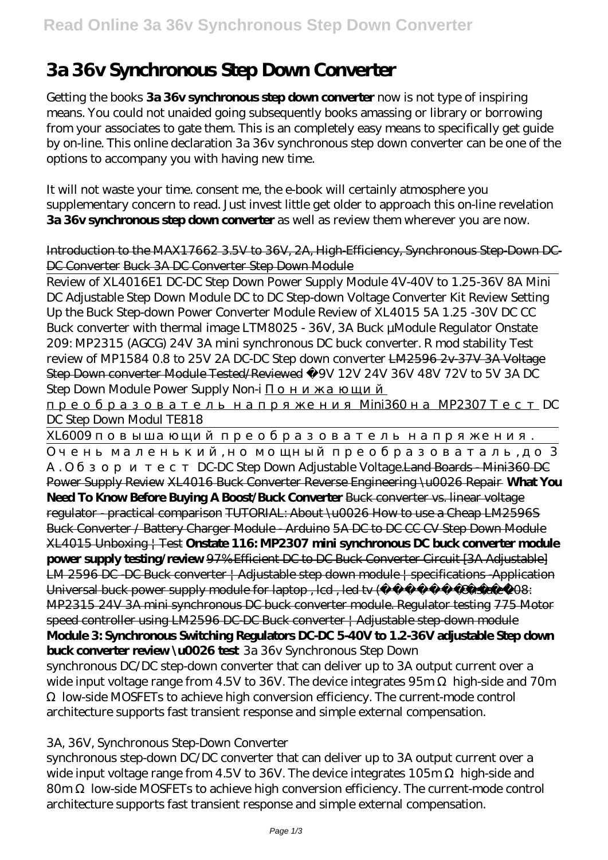# **3a 36v Synchronous Step Down Converter**

Getting the books **3a 36v synchronous step down converter** now is not type of inspiring means. You could not unaided going subsequently books amassing or library or borrowing from your associates to gate them. This is an completely easy means to specifically get guide by on-line. This online declaration 3a 36v synchronous step down converter can be one of the options to accompany you with having new time.

It will not waste your time. consent me, the e-book will certainly atmosphere you supplementary concern to read. Just invest little get older to approach this on-line revelation **3a 36v synchronous step down converter** as well as review them wherever you are now.

#### Introduction to the MAX17662 3.5V to 36V, 2A, High-Efficiency, Synchronous Step-Down DC-DC Converter Buck 3A DC Converter Step Down Module

Review of XL4016E1 DC-DC Step Down Power Supply Module 4V-40V to 1.25-36V 8A Mini DC Adjustable Step Down Module DC to DC Step-down Voltage Converter Kit Review Setting Up the Buck Step-down Power Converter Module Review of XL4015 5A 1.25 -30V DC CC Buck converter with thermal image *LTM8025 - 36V, 3A Buck µModule Regulator Onstate 209: MP2315 (AGCG) 24V 3A mini synchronous DC buck converter. R mod stability Test review of MP1584 0.8 to 25V 2A DC-DC Step down converter* LM2596 2v-37V 3A Voltage Step Down converter Module Tested/Reviewed *☑9V 12V 24V 36V 48V 72V to 5V 3A DC Step Down Module Power Supply Non-i* 

преобразователь напряжения Mini360 на MP2307 Тест *DC*

*DC Step Down Modul TE818* х $I6009$ 

Очень маленький, но мощный преобразоваталь, до 3 DC-DC Step Down Adjustable Voltage.Land Boards - Mini360 DC Power Supply Review XL4016 Buck Converter Reverse Engineering \u0026 Repair **What You Need To Know Before Buying A Boost/Buck Converter** Buck converter vs. linear voltage

regulator - practical comparison TUTORIAL: About \u0026 How to use a Cheap LM2596S Buck Converter / Battery Charger Module - Arduino 5A DC to DC CC CV Step Down Module XL4015 Unboxing | Test **Onstate 116: MP2307 mini synchronous DC buck converter module power supply testing/review** 97% Efficient DC to DC Buck Converter Circuit [3A Adjustable] LM 2596 DC -DC Buck converter  $\vert$  Adjustable step down module  $\vert$  specifications -Application Universal buck power supply module for laptop, lcd, led tv (electronic 208: MP2315 24V 3A mini synchronous DC buck converter module. Regulator testing 775 Motor speed controller using LM2596 DC-DC-Buck converter | Adjustable step-down module **Module 3: Synchronous Switching Regulators DC-DC 5-40V to 1.2-36V adjustable Step down buck converter review \u0026 test** *3a 36v Synchronous Step Down*

synchronous DC/DC step-down converter that can deliver up to 3A output current over a wide input voltage range from 4.5V to 36V. The device integrates 95m high-side and 70m Ω low-side MOSFETs to achieve high conversion efficiency. The current-mode control architecture supports fast transient response and simple external compensation.

#### *3A, 36V, Synchronous Step-Down Converter*

synchronous step-down DC/DC converter that can deliver up to 3A output current over a wide input voltage range from 4.5V to 36V. The device integrates 105m high-side and 80m low-side MOSFETs to achieve high conversion efficiency. The current-mode control architecture supports fast transient response and simple external compensation.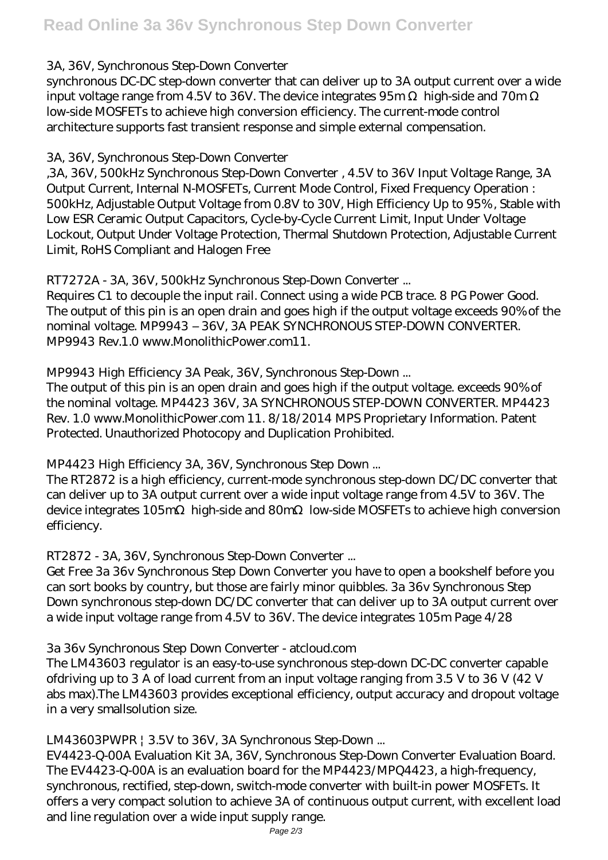#### *3A, 36V, Synchronous Step-Down Converter*

synchronous DC-DC step-down converter that can deliver up to 3A output current over a wide input voltage range from  $4.5V$  to 36V. The device integrates  $95m$  high-side and 70m low-side MOSFETs to achieve high conversion efficiency. The current-mode control architecture supports fast transient response and simple external compensation.

#### *3A, 36V, Synchronous Step-Down Converter*

,3A, 36V, 500kHz Synchronous Step-Down Converter , 4.5V to 36V Input Voltage Range, 3A Output Current, Internal N-MOSFETs, Current Mode Control, Fixed Frequency Operation : 500kHz, Adjustable Output Voltage from 0.8V to 30V, High Efficiency Up to 95% , Stable with Low ESR Ceramic Output Capacitors, Cycle-by-Cycle Current Limit, Input Under Voltage Lockout, Output Under Voltage Protection, Thermal Shutdown Protection, Adjustable Current Limit, RoHS Compliant and Halogen Free

#### *RT7272A - 3A, 36V, 500kHz Synchronous Step-Down Converter ...*

Requires C1 to decouple the input rail. Connect using a wide PCB trace. 8 PG Power Good. The output of this pin is an open drain and goes high if the output voltage exceeds 90% of the nominal voltage. MP9943 – 36V, 3A PEAK SYNCHRONOUS STEP-DOWN CONVERTER. MP9943 Rev.1.0 www.MonolithicPower.com11.

#### *MP9943 High Efficiency 3A Peak, 36V, Synchronous Step-Down ...*

The output of this pin is an open drain and goes high if the output voltage. exceeds 90% of the nominal voltage. MP4423 36V, 3A SYNCHRONOUS STEP-DOWN CONVERTER. MP4423 Rev. 1.0 www.MonolithicPower.com 11. 8/18/2014 MPS Proprietary Information. Patent Protected. Unauthorized Photocopy and Duplication Prohibited.

#### *MP4423 High Efficiency 3A, 36V, Synchronous Step Down ...*

The RT2872 is a high efficiency, current-mode synchronous step-down DC/DC converter that can deliver up to 3A output current over a wide input voltage range from 4.5V to 36V. The device integrates 105m high-side and 80m low-side MOSFETs to achieve high conversion efficiency.

# *RT2872 - 3A, 36V, Synchronous Step-Down Converter ...*

Get Free 3a 36v Synchronous Step Down Converter you have to open a bookshelf before you can sort books by country, but those are fairly minor quibbles. 3a 36v Synchronous Step Down synchronous step-down DC/DC converter that can deliver up to 3A output current over a wide input voltage range from 4.5V to 36V. The device integrates 105m Page 4/28

# *3a 36v Synchronous Step Down Converter - atcloud.com*

The LM43603 regulator is an easy-to-use synchronous step-down DC-DC converter capable ofdriving up to 3 A of load current from an input voltage ranging from 3.5 V to 36 V (42 V abs max).The LM43603 provides exceptional efficiency, output accuracy and dropout voltage in a very smallsolution size.

# *LM43603PWPR | 3.5V to 36V, 3A Synchronous Step-Down ...*

EV4423-Q-00A Evaluation Kit 3A, 36V, Synchronous Step-Down Converter Evaluation Board. The EV4423-Q-00A is an evaluation board for the MP4423/MPQ4423, a high-frequency, synchronous, rectified, step-down, switch-mode converter with built-in power MOSFETs. It offers a very compact solution to achieve 3A of continuous output current, with excellent load and line regulation over a wide input supply range.